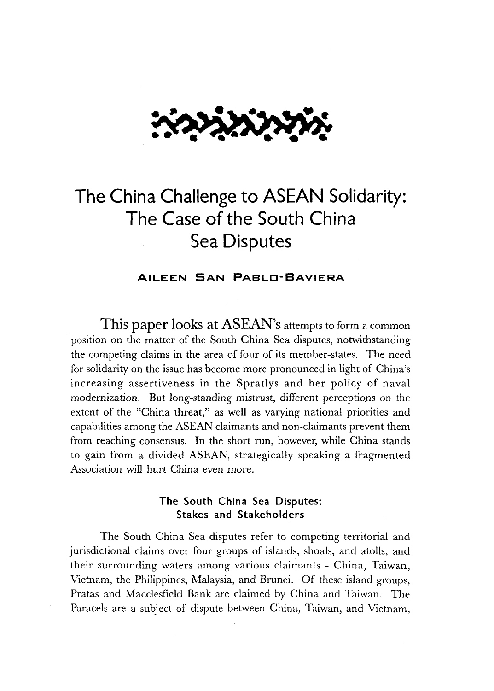

# **The China Challenge to ASEAN Solidarity: The Case of the South China Sea Disputes**

#### **AILEEN SAN PABLO-BAVIERA**

**This paper looks at ASEAN's** attempts to form a common position on the matter of the South China Sea disputes, notwithstanding the competing claims in the area of four of its member-states. The need for solidarity on the issue has become more pronounced in light of China's increasing assertiveness in the Spratlys and her policy of naval modernization. But long-standing mistrust, different perceptions on the extent of the "China threat," as well as varying national priorities and capabilities among the ASEAN claimants and non-claimants prevent them from reaching consensus. In the short run, however, while China stands to gain from a divided ASEAN, strategically speaking a fragmented Association will hurt China even more.

### **The South China Sea Disputes: Stakes and Stakeholders**

The South China Sea disputes refer to competing territorial and jurisdictional claims over four groups of islands, shoals, and atolls, and their surrounding waters among various claimants - China, Taiwan, Vietnam, the Philippines, Malaysia, and Brunei. Of these island groups, Pratas and Macclesfield Bank are claimed by China and Taiwan. The Paracels are a subject of dispute between China, Taiwan, and Vietnam,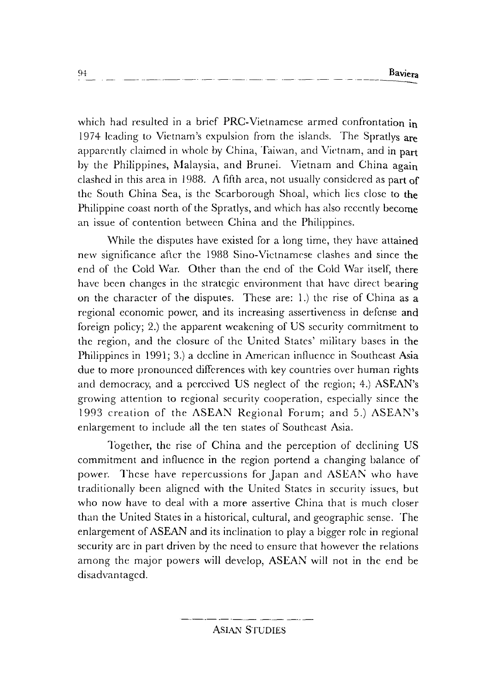which had resulted in a brief PRC-Vietnamese armed confrontation in 1974 leading to Vietnam's expulsion from the islands. The Spratlys are apparently claimed in whole by China, Taiwan, and Vietnam, and in part by the Philippines, Malaysia, and Brunei. Vietnam and China again clashed in this area in 1988. A fifth area, not usually considered as part of the South China Sea, is the Scarborough Shoal, which lies close to the Philippine coast north of the Spratlys, and which has also recently become an issue of contention between China and the Philippines.

While the disputes have existed for a long time, they have attained new significance after the 1988 Sino-Vietnamese clashes and since the end of the Cold War. Other than the end of the Cold War itself, there have been changes in the strategic environment that have direct bearing on *the* character of the disputes. These are: 1.) the rise of China as a regional economic power, and its increasing assertiveness in defense and foreign policy; 2.) the apparent weakening of US security commitment to the region, and the closure of the United States' military bases in the Philippines in 1991; 3.) a decline in American influence in Southeast Asia due to more pronounced differences with key countries over human rights and democracy, and a perceived US neglect of the region; 4.) ASEAN's growing attention to regional security cooperation, especially since the 1993 creation of the ASEAN Regional Forum; and 5.)  $ASERN's$ enlargement to include all the ten states of Southeast Asia.

Together, the rise of China and the perception of declining US commitment and influence in the region portend a changing balance of power. These have repercussions for Japan and ASEAN who have traditionally been aligned with the United States in security issues, but who now have to deal with a more assertive China that is much closer than the United States in a historical, cultural, and geographic sense. The enlargement of ASEAN and its inclination to play a bigger role in regional security arc in part driven by the need to ensure that however the relations among the major powers will develop, ASEAN will not in the end be disadvantaged.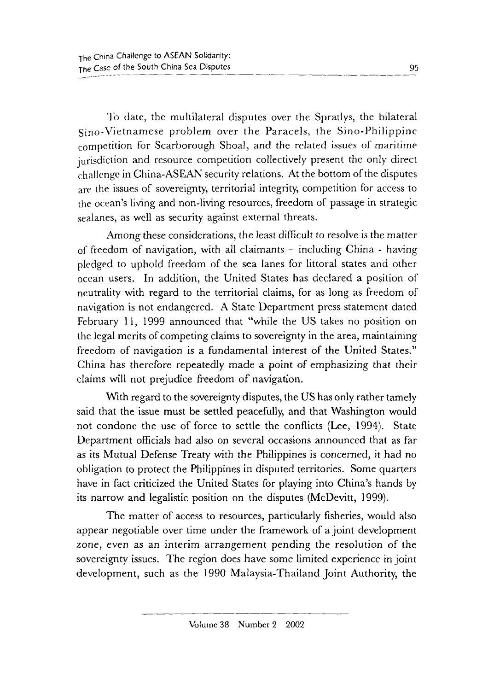To date, the multilateral disputes over the Spratlys, the bilateral Sino-Vietnamese problem over the Paracels, the Sino-Philippine competition for Scarborough Shoal, and the related issues of maritime jurisdiction and resource competition collectively present the only direct challenge in China-ASEAN security relations. At the bottom of the disputes are the issues of sovereignty, territorial integrity, competition for access to the ocean's living and non-living resources, freedom of passage in strategic sealanes, as well as security against external threats.

Among these considerations, the least difficult to resolve is the matter of freedom of navigation, with all claimants  $-$  including China - having pledged to uphold freedom of the sea lanes for littoral states and other ocean users. In addition, the United States has declared a position of neutrality with regard to the territorial claims, for as long as freedom of navigation is not endangered. A State Department press statement dated February 11, 1999 announced that "while the US takes no position on the legal merits of competing claims to sovereignty in the area, maintaining freedom of navigation is a fundamental interest of the United States." China has therefore repeatedly made a point of emphasizing that their claims will not prejudice freedom of navigation.

With regard to the sovereignty disputes, the US has only rather tamely said that the issue must be settled peacefully, and that Washington would not condone the use of force to settle the conflicts (Lee, 1994). State Department officials had also on several occasions announced that as far as its Mutual Defense Treaty with the Philippines is concerned, it had no obligation to protect the Philippines in disputed territories. Some quarters have in fact criticized the United States for playing into China's hands by its narrow and legalistic position on the disputes (McDevitt, 1999).

The matter of access to resources, particularly fisheries, would also appear negotiable over time under the framework of a joint development zone, even as an interim arrangement pending the resolution of the sovereignty issues. The region does have some limited experience in joint development, such as the 1990 Malaysia-Thailand Joint Authority, the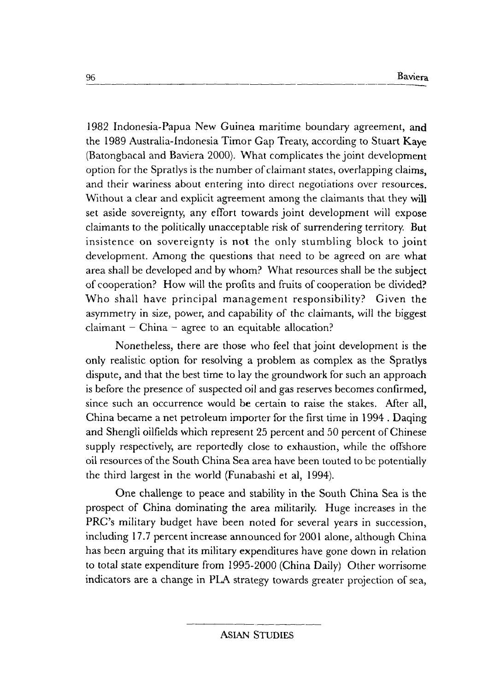1982 Indonesia-Papua New Guinea maritime boundary agreement, and the 1989 Australia-Indonesia Timor Gap Treaty, according to Stuart Kaye (Batongbacal and Baviera 2000). What complicates the joint development option for the Spratlys is the number of claimant states, overlapping claims, and their wariness about entering into direct negotiations over resources. Without a clear and explicit agreement among the claimants that they will set aside sovereignty, any effort towards joint development will expose claimants to the politically unacceptable risk of surrendering territory. But insistence on sovereignty is not the only stumbling block to joint development. Among the questions that need to be agreed on are what area shall be developed and by whom? What resources shall be the subject of cooperation? How will the profits and fruits of cooperation be divided? Who shall have principal management responsibility? Given the asymmetry in size, power, and capability of the claimants, will the biggest  $claimant - China - agree to an equitable allocation?$ 

Nonetheless, there are those who feel that joint development is the only realistic option for resolving a problem as complex as the Spratlys dispute, and that the best time to lay the groundwork for such an approach is before the presence of suspected oil and gas reserves becomes confirmed, since such an occurrence would be certain to raise the stakes. After all, China became a net petroleum importer for the first time in 1994 . Daqing and Shengli oilfields which represent 25 percent and 50 percent of Chinese supply respectively, are reportedly close to exhaustion, while the offshore oil resources of the South China Sea area have been touted to be potentially the third largest in the world (Funabashi et al, 1994).

One challenge to peace and stability in the South China Sea is the prospect of China dominating the area militarily. Huge increases in the PRC's military budget have been noted for several years in succession, including 17.7 percent increase announced for 2001 alone, although China has been arguing that its military expenditures have gone down in relation to total state expenditure from 1995-2000 (China Daily) Other worrisome indicators are a change in PLA strategy towards greater projection of sea,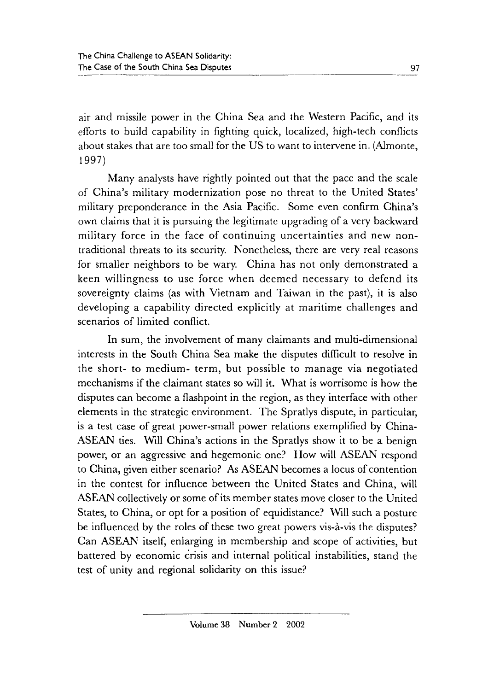air and missile power in the China Sea and the Western Pacific, and its efforts to build capability in fighting quick, localized, high-tech conflicts about stakes that are too small for the US to want to intervene in. (Almonte, 1997)

Many analysts have rightly pointed out that the pace and the scale of China's military modernization pose no threat to the United States' military preponderance in the Asia Pacific. Some even confirm China's own claims that it is pursuing the legitimate upgrading of a very backward military force in the face of continuing uncertainties and new nontraditional threats to its security. Nonetheless, there are very real reasons for smaller neighbors to be wary. China has not only demonstrated a keen willingness to use force when deemed necessary to defend its sovereignty claims (as with Vietnam and Taiwan in the past), it is also developing a capability directed explicitly at maritime challenges and scenarios of limited conflict.

In sum, the involvement of many claimants and multi-dimensional interests in the South China Sea make the disputes difficult to resolve in the short- to medium- term, but possible to manage via negotiated mechanisms if the claimant states so will it. What is worrisome is how the disputes can become a flashpoint in the region, as they interface with other elements in the strategic environment. The Spratlys dispute, in particular, is a test case of great power-small power relations exemplified by China-ASEAN ties. Will China's actions in the Spratlys show it to be a benign power, or an aggressive and hegemonic one? How will ASEAN respond to China, given either scenario? As ASEAN becomes a locus of contention in the contest for influence between the United States and China, will ASEAN collectively or some of its member states move closer to the United States, to China, or opt for a position of equidistance? Will such a posture be influenced by the roles of these two great powers vis-à-vis the disputes? Can ASEAN itself, enlarging in membership and scope of activities, but battered by economic crisis and internal political instabilities, stand the test of unity and regional solidarity on this issue?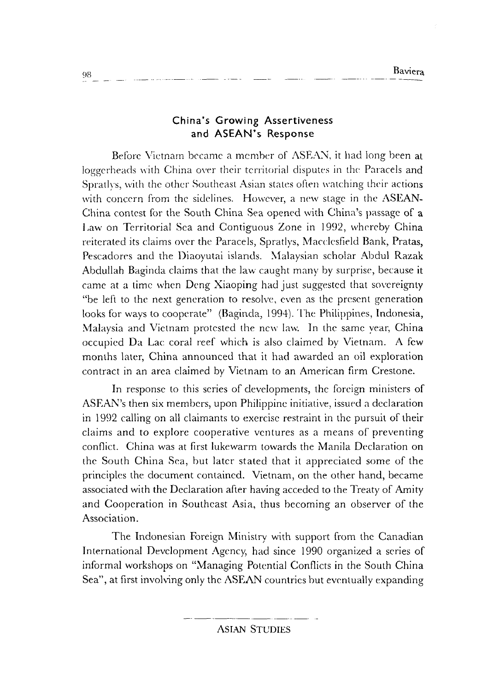### **China's Growing Assertiveness and ASEAN's Response**

Before Vietnam became a member of ASEAN, it had long been at loggerheads with China over their territorial disputes in the Paracels and Spratlys, with the other Southeast Asian states often watching their actions with concern from the sidelines. However, a new stage in the ASEAN-China contest for the South China Sea opened with China's passage of a Law on Territorial Sea and Contiguous Zone in 1992, whereby China reiterated its claims over the Paracels, Spratlys, Macclesfield Bank, Pratas, Pescadores and the Diaoyutai islands. Malaysian scholar Abdul Razak Abdullah Baginda claims that the law caught many by surprise, because it came at a time when Deng Xiaoping had just suggested that sovereignty "be left to the next generation to resolve, even as the present generation looks for ways to cooperate" (Baginda, 1994). The Philippines, Indonesia, Malaysia and Vietnam protested the new law. In the same year, China occupied Da Lac coral reef which is also claimed by Vietnam. A few months later, China announced that it had awarded an oil exploration contract in an area claimed by Vietnam to an American firm Crestone.

In response to this series of developments, the foreign ministers of ASEAN's then six members, upon Philippine initiative, issued a declaration in 1992 calling on all claimants to exercise restraint in the pursuit of their claims and to explore cooperative ventures as a means of preventing conflict. China was at first lukewarm towards the Manila Declaration on the South China Sea, but later stated that it appreciated some of the principles the document contained. Vietnam, on the other hand, became associated with the Declaration after having acceded to the Treaty of Amity and Cooperation in Southeast Asia, thus becoming an observer of the Association.

The Indonesian Foreign Ministry with support from the Canadian International Development Agency, had since 1990 organized a series of informal workshops on "Managing Potential Conflicts in the South China Sea", at first involving only the ASEAN countries but eventually expanding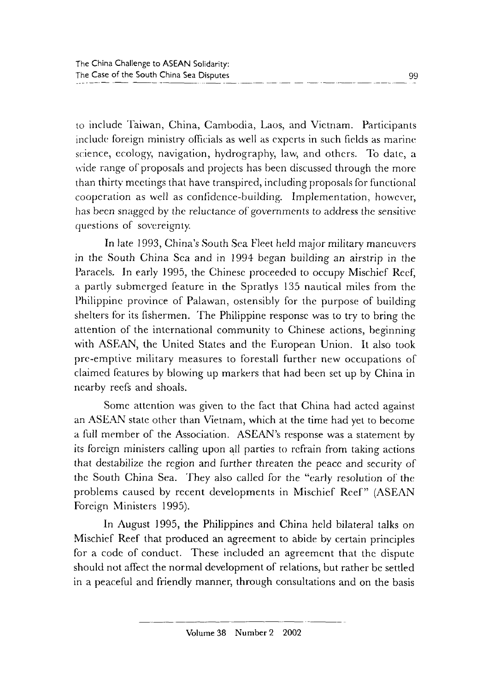to include Taiwan, China, Cambodia, Laos, and Vietnam. Participants include foreign ministry officials as well as experts in such fields as marine science, ecology, navigation, hydrography, law, and others. To date, a wide range of proposals and projects has been discussed through the more than thirty meetings that have transpired, including proposals for functional cooperation as well as confidence-building. Implementation, however, has been snagged by the reluctance of governments to address the sensitive questions of sovereignty.

In late 1993, China's South Sea Fleet held major military maneuvers in the South China Sea and in 1994 began building an airstrip in the Paracels. In early 1995, the Chinese proceeded to occupy Mischief Reef; a partly submerged feature in the Spratlys 135 nautical miles from the Philippine province of Palawan, ostensibly for the purpose of building shelters for its fishermen. The Philippine response was to try to bring the attention of the international community to Chinese actions, beginning with ASEAN, the United States and the European Union. It also took pre-emptive military measures to forestall further new occupations of claimed features by blowing up markers that had been set up by China in nearby reefs and shoals.

Some attention was given to the fact that China had acted against an ASEAN state other than Vietnam, which at the time had yet to become a full member of the Association. ASEAN's response was a statement by its foreign ministers calling upon all parties to refrain from taking actions that destabilize the region and further threaten the peace and security of the South China Sea. They also called for the "early resolution of the problems caused by recent developments in Mischief Reef" (ASEAN Foreign Ministers 1995).

In August 1995, the Philippines and China held bilateral talks on Mischief Reef that produced an agreement to abide by certain principles for a code of conduct. These included an agreement that the dispute should not affect the normal development of relations, but rather be settled in a peaceful and friendly manner, through consultations and on the basis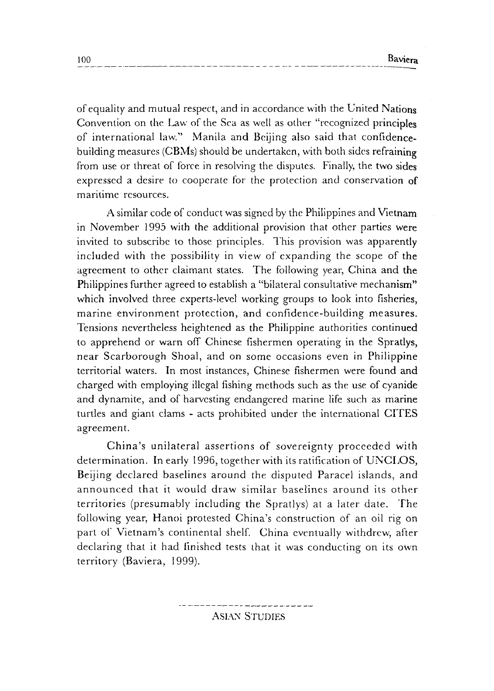of equality and mutual respect, and in accordance with the United Nations Convention on the Law of the Sea as well as other "recognized principles of international law." Manila and Beijing also said that confidencebuilding measures (CBMs) should be undertaken, with both sides refraining from use or threat of force in resolving the disputes. Finally, the two sides expressed a desire to cooperate for the protection and conservation of maritime resources.

A similar code of conduct was signed by the Philippines and Vietnam in November 1995 with the additional provision that other parties were invited to subscribe to those principles. This provision was apparently included with the possibility in view of expanding the scope of the agreement to other claimant states. The following year, China and the Philippines further agreed to establish a "bilateral consultative mechanism" which involved three experts-level working groups to look into fisheries, marine environment protection, and confidence-building measures. Tensions nevertheless heightened as the Philippine authorities continued to apprehend or warn off Chinese fishermen operating in the Spratlys, near Scarborough Shoal, and on some occasions even in Philippine territorial waters. In most instances, Chinese fishermen were found and charged with employing illegal fishing methods such as the use of cyanide and dynamite, and of harvesting endangered marine life such as marine turtles and giant clams - acts prohibited under the international CITES agreement.

China's unilateral assertions of sovereignty proceeded with determination. In early 1996, together with its ratification of UNCLOS, Beijing declared baselines around the disputed Paracel islands, and announced that it would draw similar baselines around its other territories (presumably including the Spratlys) at a later date. The following year, Hanoi protested China's construction of an oil rig on part of Vietnam's continental shelf. China eventually withdrew, after declaring that it had finished tests that it was conducting on its own territory (Baviera, 1999).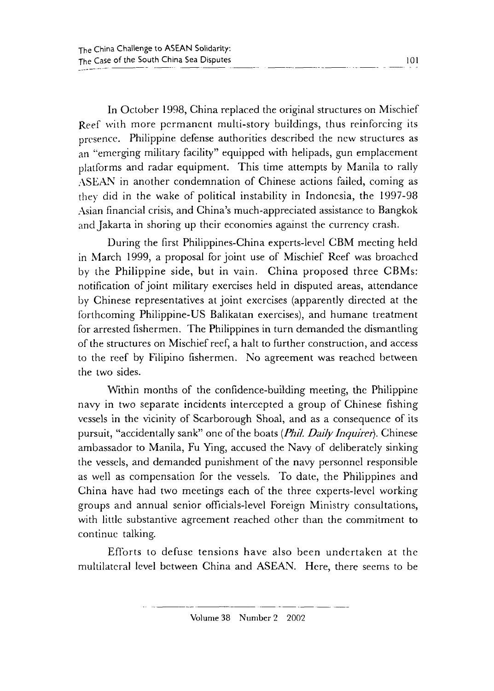In October 1998, China replaced the original structures on Mischief Reef with more permanent multi-story buildings, thus reinforcing its presence. Philippine defense authorities described the new structures as an ''emerging military facility" equipped with helipads, gun emplacement platforms and radar equipment. This time attempts by Manila to rally ASEAN in another condemnation of Chinese actions failed, coming as they did in the wake of political instability in Indonesia, the 1997-98 Asian financial crisis, and China's much-appreciated assistance to Bangkok and Jakarta in shoring up their economies against the currency crash.

During the first Philippines-China experts-level CBM meeting held in March 1999, a proposal for joint use of Mischief Reef was broached by the Philippine side, but in vain. China proposed three CBMs: notification of joint military exercises held in disputed areas, attendance by Chinese representatives at joint exercises (apparently directed at the forthcoming Philippine-US Balikatan exercises), and humane treatment for arrested fishermen. The Philippines in turn demanded the dismantling of the structures on Mischief reef, a halt to further construction, and access to the reef by Filipino fishermen. No agreement was reached between the two sides.

Within months of the confidence-building meeting, the Philippine navy in two separate incidents intercepted a group of Chinese fishing vessels in the vicinity of Scarborough Shoal, and as a consequence of its pursuit, "accidentally sank" one of the boats *(Phil. Daily Inquirer).* Chinese ambassador to Manila, Fu Ying, accused the Navy of deliberately sinking the vessels, and demanded punishment of the navy personnel responsible as well as compensation for the vessels. To date, the Philippines and China have had two meetings each of the three experts-level working groups and annual senior officials-level Foreign Ministry consultations, with little substantive agreement reached other than the commitment to continue talking.

Efforts to defuse tensions have also been undertaken at the multilateral level between China and ASEAN. Here, there seems to be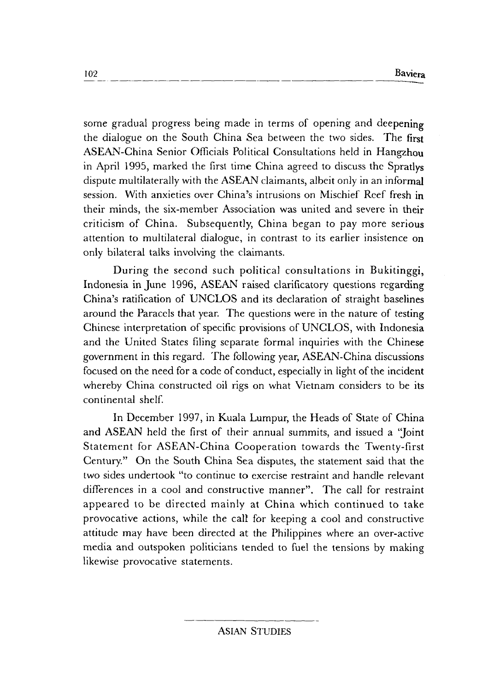some gradual progress being made in terms of opening and deepening the dialogue on the South China Sea between the two sides. The first ASEAN-China Senior Officials Political Consultations held in Hangzhou in April 1995, marked the first time China agreed to discuss the Spratlys dispute multilaterally with the ASEAN claimants, albeit only in an informal session. With anxieties over China's intrusions on Mischief Reef fresh in their minds, the six-member Association was united and severe in their criticism of China. Subsequently, China began to pay more serious attention to multilateral dialogue, in contrast to its earlier insistence on only bilateral talks involving the claimants.

During the second such political consultations in Bukitinggi, Indonesia in June 1996, ASEAN raised clarificatory questions regarding China's ratification of UNCLOS and its declaration of straight baselines around the Paracels that year. The questions were in the nature of testing Chinese interpretation of specific provisions of UNCLOS, with Indonesia and the United States filing separate formal inquiries with the Chinese government in this regard. The following year, ASEAN-China discussions focused on the need for a code of conduct, especially in light of the incident whereby China constructed oil rigs on what Vietnam considers to be its continental shelf.

In December 1997, in Kuala Lumpur, the Heads of State of China and ASEAN held the first of their annual summits, and issued a "Joint" Statement for ASEAN-China Cooperation towards the Twenty-first Century." On the South China Sea disputes, the statement said that the two sides undertook "to continue to exercise restraint and handle relevant differences in a cool and constructive manner". The call for restraint appeared to be directed mainly at China which continued to take provocative actions, while the call for keeping a cool and constructive attitude may have been directed at the Philippines where an over-active media and outspoken politicians tended to fuel the tensions by making likewise provocative statements.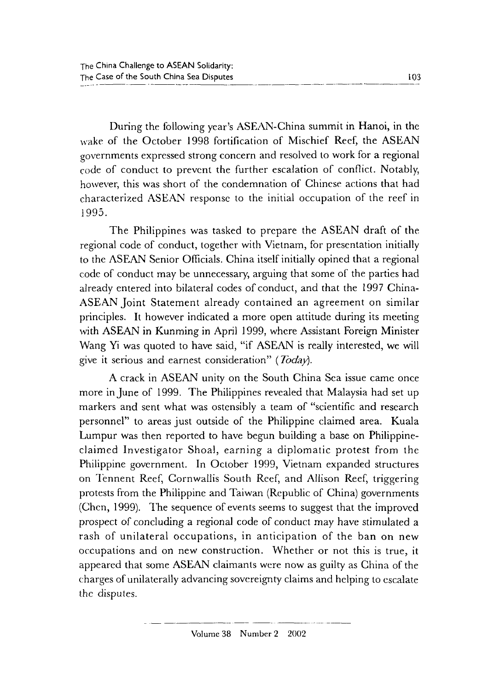During the following year's ASEAN-China summit in Hanoi, in the wake of the October 1998 fortification of Mischief Reef, the ASEAN governments expressed strong concern and resolved to work for a regional code of conduct to prevent the further escalation of conflict. Notably, however, this was short of the condemnation of Chinese actions that had characterized ASEAN response to the initial occupation of the reef in 1995.

The Philippines was tasked to prepare the ASEAN draft of the regional code of conduct, together with Vietnam, for presentation initially to the ASEAN Senior Officials. China itself initially opined that a regional code of conduct may be unnecessary, arguing that some of the parties had already entered into bilateral codes of conduct, and that the 1997 China-ASEAN Joint Statement already contained an agreement on similar principles. It however indicated a more open attitude during its meeting with ASEAN in Kunming in April 1999, where Assistant Foreign Minister Wang Yi was quoted to have said, "if ASEAN is really interested, we will give it serious and earnest consideration" (*Today*).

A crack in ASEAN unity on the South China Sea issue came once more in June of 1999. The Philippines revealed that Malaysia had set up markers and sent what was ostensibly a team of "scientific and research personnel" to areas just outside of the Philippine claimed area. Kuala Lumpur was then reported to have begun building a base on Philippineclaimed Investigator Shoal, earning a diplomatic protest from the Philippine government. In October 1999, Vietnam expanded structures on Tennent Reef, Cornwallis South Reef, and Allison Reef, triggering protests from the Philippine and Taiwan (Republic of China) governments (Chen, 1999). The sequence of events seems to suggest that the improved prospect of concluding a regional code of conduct may have stimulated a rash of unilateral occupations, in anticipation of the ban on new occupations and on new construction. Whether or not this is true, it appeared that some ASEAN claimants were now as guilty as China of the charges of unilaterally advancing sovereignty claims and helping to escalate the disputes.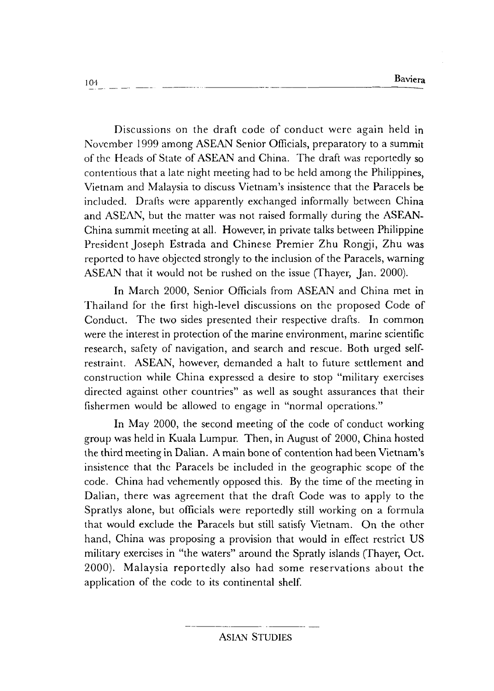Discussions on the draft code of conduct were again held in November 1999 among ASEAN Senior Officials, preparatory to a summit of the Heads of State of ASEAN and China. The draft was reportedly so contentious that a late night meeting had to be held among the Philippines, Vietnam and Malaysia to discuss Vietnam's insistence that the Paracels be included. Drafts were apparently exchanged informally between China and ASEAN, but the matter was not raised formally during the ASEAN-China summit meeting at all. However, in private talks between Philippine President Joseph Estrada and Chinese Premier Zhu Rongji, Zhu was reported to have objected strongly to the inclusion of the Paracels, warning ASEAN that it would not be rushed on the issue (Thayer, Jan. 2000).

In March 2000, Senior Officials from ASEAN and China met in Thailand for the first high-level discussions on the proposed Code of Conduct. The two sides presented their respective drafts. In common were the interest in protection of the marine environment, marine scientific research, safety of navigation, and search and rescue. Both urged selfrestraint. ASEAN, however, demanded a halt to future settlement and construction while China expressed a desire to stop "military exercises directed against other countries" as well as sought assurances that their fishermen would be allowed to engage in "normal operations."

In May 2000, the second meeting of the code of conduct working group was held in Kuala Lumpur. Then, in August of 2000, China hosted the third meeting in Dalian. A main bone of contention had been Vietnam's insistence that the Paracels be included in the geographic scope of the code. China had vehemently opposed this. By the time of the meeting in Dalian, there was agreement that the draft Code was to apply to the Spratlys alone, but officials were reportedly still working on a formula that would exclude the Paraccls but still satisfy Vietnam. On the other hand, China was proposing a provision that would in effect restrict US military exercises in "the waters" around the Spratly islands (fhayer, Oct. 2000). Malaysia reportedly also had some reservations about the application of the code to its continental shelf.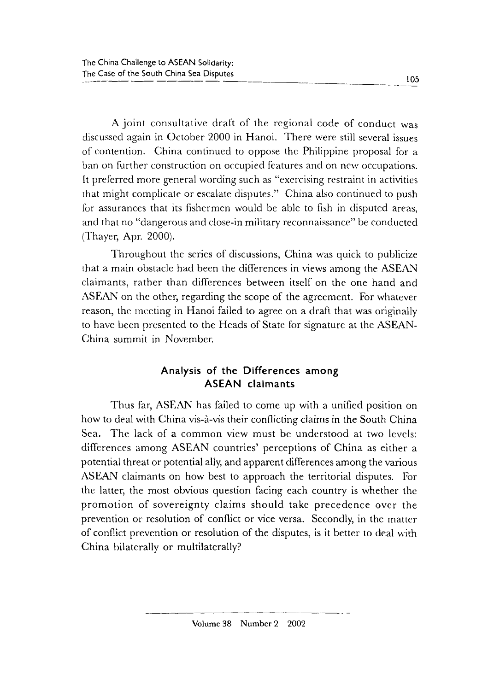A joint consultative draft of the regional code of conduct was discussed again in October 2000 in Hanoi. There were still several issues of contention. China continued to oppose the Philippine proposal for a ban on further construction on occupied features and on new occupations. It preferred more general wording such as "exercising restraint in activities that might complicate or escalate disputes." China also continued to push for assurances that its fishermen would be able to fish in disputed areas, and that no "dangerous and close-in military reconnaissance" be conducted (Thayer, Apr. 2000).

Throughout the series of discussions, China was quick to publicize that a main obstacle had been the differences in views among the ASEAN claimants, rather than differences between itself on the *one* hand and ASEAN on the other, regarding the scope of the agreement. For whatever reason, the meeting in Hanoi failed to agree on a draft that was originally to have been presented to the Heads of State for signature at the ASEAN-China summit in November.

## **Analysis of the Differences among ASEAN claimants**

Thus far, ASEAN has failed to come up with a unified position on how to deal with China vis-à-vis their conflicting claims in the South China Sea. The lack of a common view must be understood at two levels: differences among ASEAN countries' perceptions of China as either a potential threat or potential ally, and apparent differences among the various ASEAN claimants on how best to approach the territorial disputes. For the latter, the most obvious question facing each country is whether the promotion of sovereignty claims should take precedence over the prevention or resolution of conflict or vice versa. Secondly, in the matter of conflict prevention or resolution of the disputes, is it better to deal with China bilaterally or multilaterally?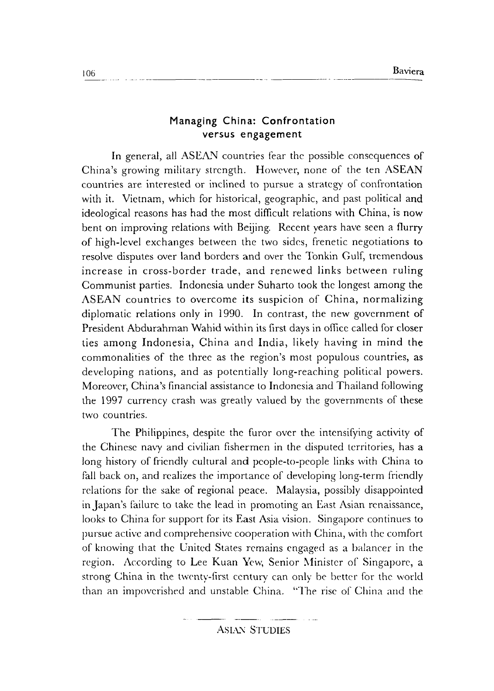## **Managing China: Confrontation versus engagement**

In general, all ASEAN countries fear the possible consequences of China's growing military strength. However, none of the ten ASEAN countries are interested or inclined to pursue a strategy of confrontation with it. Vietnam, which for historical, geographic, and past political and ideological reasons has had the most difficult relations with China, is now bent on improving relations with Beijing. Recent years have seen a flurry of high-level exchanges between the two sides, frenetic negotiations to resolve disputes over land borders and over the Tonkin Gulf, tremendous increase in cross-border trade, and renewed links between ruling Communist parties. Indonesia under Suharto took the longest among the ASEAN countries to overcome its suspicion of China, normalizing diplomatic relations only in 1990. In contrast, the new government of President Abdurahman Wahid within its first days in office called for closer ties among Indonesia, China and India, likely having in mind the commonalities of the three as the region's most populous countries, as developing nations, and as potentially long-reaching political powers. Moreover, China's financial assistance to Indonesia and Thailand following the 1997 currency crash was greatly valued by the governments of these two countries.

The Philippines, despite the furor over the intensifying activity of the Chinese navy and civilian fishermen in the disputed territories, has a long history of friendly cultural and people-to-people links with China to fall back on, and realizes the importance of developing long-term friendly relations for the sake of regional peace. Malaysia, possibly disappointed in Japan's failure to take the lead in promoting an East Asian renaissance, looks to China for support for its East Asia vision. Singapore continues to pursue active and comprehensive cooperation with China, with the comfort of knowing that the United States remains engaged as a balancer in the region. According to Lee Kuan Yew, Senior Minister of Singapore, a strong China in the twenty-first century can only be better for the world than an impoverished and unstable China. "The rise of China and the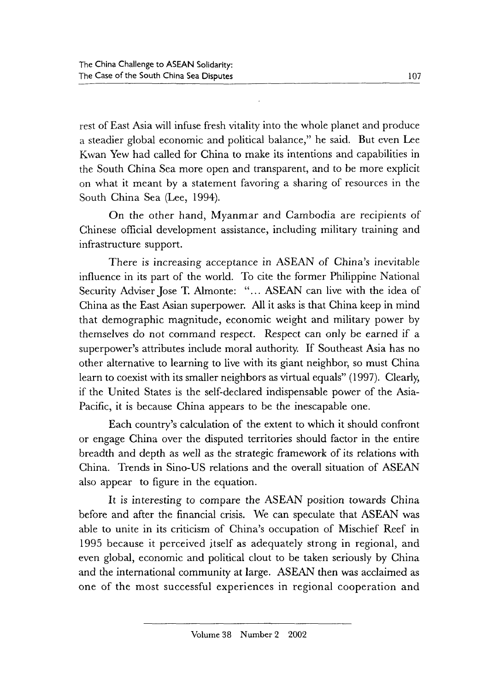rest of East Asia will infuse fresh vitality into the whole planet and produce a steadier global economic and political balance," he said. But even Lee Kwan Yew had called for China to make its intentions and capabilities in the South China Sea more open and transparent, and to be more explicit on what it meant by a statement favoring a sharing of resources in the South China Sea (Lee, 1994).

On the other hand, Myanmar and Cambodia are recipients of Chinese official development assistance, including military training and infrastructure support.

There is increasing acceptance in ASEAN of China's inevitable influence in its part of the world. To cite the former Philippine National Security Adviser Jose T. Almonte: "... ASEAN can live with the idea of China as the East Asian superpower. All it asks is that China keep in mind that demographic magnitude, economic weight and military power by themselves do not command respect. Respect can only be earned if a superpower's attributes include moral authority. If Southeast Asia has no other alternative to learning to live with its giant neighbor, so must China learn to coexist with its smaller neighbors as virtual equals" (1997). Clearly, if the United States is the self-declared indispensable power of the Asia-Pacific, it is because China appears to be the inescapable one.

Each country's calculation of the extent to which it should confront or engage China over the disputed territories should factor in the entire breadth and depth as well as the strategic framework of its relations with China. Trends in Sino-US relations and the overall situation of ASEAN also appear to figure in the equation.

It is interesting to compare the ASEAN position towards China before and after the financial crisis. We can speculate that ASEAN was able to unite in its criticism of China's occupation of Mischief Reef in 1995 because it perceived itself as adequately strong in regional, and even global, economic and political clout to be taken seriously by China and the international community at large. ASEAN then was acclaimed as one of the most successful experiences in regional cooperation and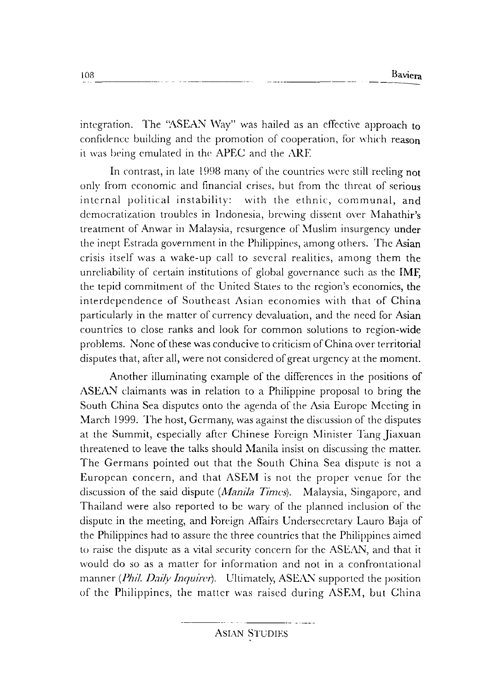integration. The "ASEAN Way" was hailed as an effective approach to confidence building and the promotion of cooperation, for which reason it was being emulated in the APEC and the ARE

In contrast, in late 1998 many of the countries were still reeling not only from economic and financial crises, hut from the threat of serious internal political instability: with the ethnic, communal, and democratization troubles in Indonesia, brewing dissent over Mahathir's treatment of Anwar in Malaysia, resurgence of Muslim insurgency under the inept Estrada gowrnmcnt in the Philippines, among others. The Asian crisis itself \Vas a wake-up call to several realities, among them the unreliability of certain institutions of global governance such as the IMF, the tepid commitment of the United States to the region's economics, the interdependence of Southeast Asian economics with that of China particularly in the matter of currency devaluation, and the need for Asian countries to close ranks and look for common solutions to region-wide problems. None of these was conducive to criticism of China over territorial disputes that, after all, were not considered of great urgency at the moment.

Another illuminating example of the differences in the positions of ASEAN claimants was in relation to a Philippine proposal to bring the South China Sea disputes onto the agenda of the Asia Europe Meeting in March 1999. The host, Germany, was against the discussion of the disputes at the Summit, especially after Chinese Foreign \Jinister Tang Jiaxuan threatened to leave the talks should Manila insist on discussing the matter. The Germans pointed out that the South China Sea dispute is not a European concern, and that ASEM is not the proper venue for the discussion of the said dispute *(Manila Times)*. Malaysia, Singapore, and Thailand were also reported to be wary of the planned inclusion of the dispute in the meeting, and Foreign AfTairs Undersecretary Lauro Baja of the Philippines had to assure the three countries that the Philippines aimed to raise the dispute as a vital security concern for the ASEAN, and that it would do so as a matter for information and not in a confrontational manner *(Phil. Daily Inquirer)*. Ultimately, ASEAN supported the position of the Philippines, the matter was raised during ASEM, but China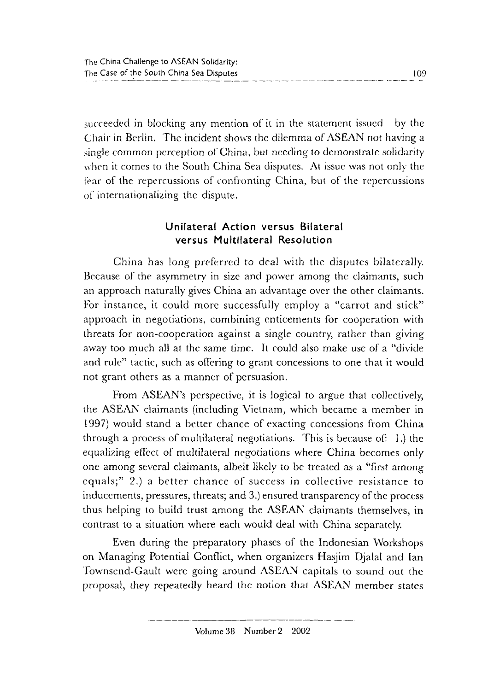succeeded in blocking any mention of it in the statement issued by the Chair in Berlin. The incident shows the dilemma of ASEAN not having a single common perception of China, but needing to demonstrate solidarity when it comes to the South China Sea disputes. At issue was not only the !far of the repercussions of confronting China, but of the repercussions of internationalizing the dispute.

# **Unilateral Action versus Bilateral versus Multilateral Resolution**

China has long preferred to deal with the disputes bilaterally. Because of the asymmetry in size and power among the claimants, such an approach naturally gives China an advantage over the other claimants. For instance, it could more successfully employ a "carrot and stick" approach in negotiations, combining enticements for cooperation with threats for non-cooperation against a single country, rather than giving away too much all at the same time. It could also make use of a "divide and rule" tactic, such as offering to grant concessions to one that it would not grant others as a manner of persuasion.

From ASEAN's perspective, it is logical to argue that collectively, the ASEAN claimants (including Vietnam, which became a member in 1997) would stand a better chance of exacting concessions from China through a process of multilateral negotiations. This is because of: !.) the equalizing effect of multilateral negotiations where China becomes only one among several claimants, albeit likely to be treated as a "first among equals;" 2.) a better chance of success in collective resistance to inducements, pressures, threats; and 3.) ensured transparency of the process thus helping to build trust among the ASEAN claimants themselves, in contrast to a situation where each would deal with China separately.

Even during the preparatory phases of the Indonesian Workshops on Managing Potential Conflict, when organizers Hasjim Djalal and Ian Townsend-Gault were going around ASEAN capitals to sound out the proposal, they repeatedly heard the notion that ASEAN member states

Volume 38 Number 2 2002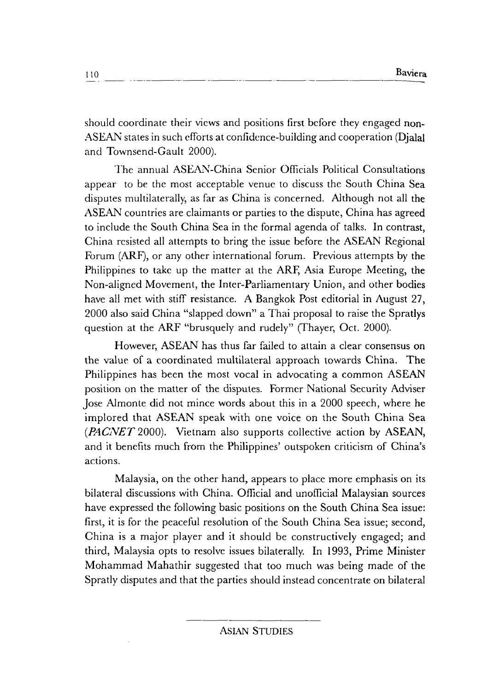should coordinate their views and positions first before they engaged non-ASEAN states in such efforts at confidence-building and cooperation (Djalal and Townsend-Gault 2000).

The annual ASEAN-China Senior Officials Political Consultations appear to be the most acceptable venue to discuss the South China Sea disputes multilaterally, as far as China is concerned. Although not all the ASEAN countries are claimants or parties to the dispute, China has agreed to include the South China Sea in the formal agenda of talks. In contrast, China resisted all attempts to bring the issue before the ASEAN Regional Forum (ARF), or any other international forum. Previous attempts by the Philippines to take up the matter at the ARF, Asia Europe Meeting, the Non-aligned Movement, the Inter-Parliamentary Union, and other bodies have all met with stiff resistance. A Bangkok Post editorial in August 27, 2000 also said China "slapped down" a Thai proposal to raise the Spratlys question at the ARF "brusquely and rudely" (Thayer, Oct. 2000).

However, ASEAN has thus far failed to attain a clear consensus on the value of a coordinated multilateral approach towards China. The Philippines has been the most vocal in advocating a common ASEAN position on the matter of the disputes. Former National Security Adviser Jose Almonte did not mince words about this in a 2000 speech, where he implored that ASEAN speak with one voice on the South China Sea *(PACNET* 2000). Vietnam also supports collective action by ASEAN, and it benefits much from the Philippines' outspoken criticism of China's actions.

Malaysia, on the other hand, appears to place more emphasis on its bilateral discussions with China. Official and unofficial Malaysian sources have expressed the following basic positions on the South China Sea issue: first, it is for the peaceful resolution of the South China Sea issue; second, China is a major player and it should be constructively engaged; and third, Malaysia opts to resolve issues bilaterally. In 1993, Prime Minister Mohammad Mahathir suggested that too much was being made of the Spratly disputes and that the parties should instead concentrate on bilateral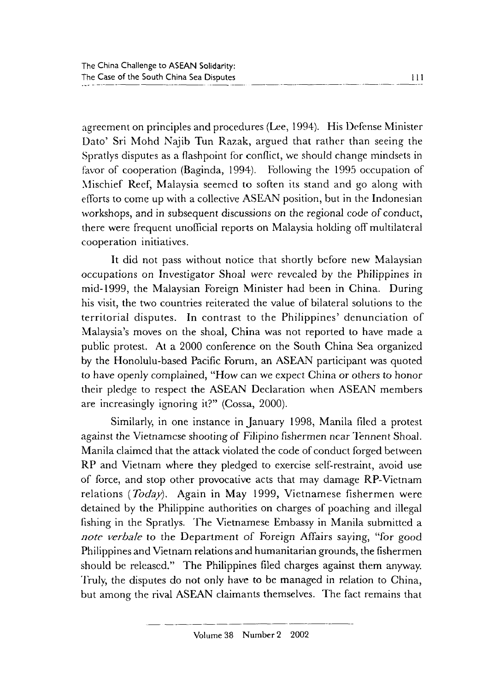agreement on principles and procedures (Lee, 1994). His Defense Minister Dato' Sri Mohd Najib Tun Razak, argued that rather than seeing the Spratlys disputes as a flashpoint for conflict, we should change mindsets in favor of cooperation (Baginda, 1994). Following the 1995 occupation of Mischief Reef, Malaysia seemed to soften its stand and go along with efforts to come up with a collective ASEAN position, but in the Indonesian workshops, and in subsequent discussions *on* the regional code of conduct, there were frequent unofficial reports on Malaysia holding off multilateral cooperation initiatives.

It did not pass without notice that shortly before new Malaysian occupations *on* Investigator Shoal were revealed by the Philippines in mid-1999, the Malaysian Foreign Minister had been in China. During his visit, the two countries reiterated the value of bilateral solutions to the territorial disputes. In contrast to the Philippines' denunciation of Malaysia's moves on the shoal, China was not reported to have made a public protest. At a 2000 conference on the South China Sea organized by the Honolulu-based Pacific Forum, an ASEAN participant was quoted to have openly complained, "How can we expect China or others to honor their pledge to respect the ASEAN Declaration when ASEAN members are increasingly ignoring it?" (Cossa, 2000).

Similarly, in one instance in January 1998, Manila filed a protest against the Vietnamese shooting of Filipino fishermen ncar 'lennent Shoal. Manila claimed that the attack violated the code of conduct forged between RP and Vietnam where they pledged to exercise self-restraint, avoid use of force, and stop other provocative acts that may damage RP-Vietnam relations *(Today).* Again in May 1999, Vietnamese fishermen were detained by the Philippine authorities on charges of poaching and illegal fishing in the Spratlys. The Vietnamese Embassy in Manila submitted a *note verbale* to the Department of Foreign Affairs saying, "for good Philippines and Vietnam relations and humanitarian grounds, the fishermen should be released." The Philippines filed charges against them anyway. Truly, the disputes do not only have to be managed in relation to China, but among the rival ASEAN claimants themselves. The fact remains that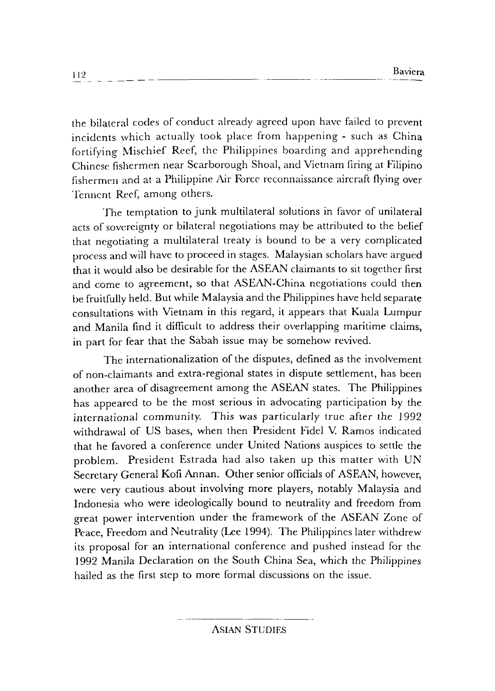the bilateral codes of conduct already agreed upon have failed to prevent incidents which actually took place from happening - such as China fortifying Mischief Reef, the Philippines boarding and apprehending Chinese fishermen near Scarborough Shoal, and Vietnam firing at Filipino fishermen and at a Philippine Air Force reconnaissance aircraft flying over Tennent Reef, among others.

The temptation to junk multilateral solutions in favor of unilateral acts of sovereignty or bilateral negotiations may be attributed to the belief that negotiating a multilateral treaty is bound to be a very complicated process and will have to proceed in stages. Malaysian scholars have argued that it would also be desirable for the ASEAN claimants to sit together first and come to agreement, so that ASEAN-China negotiations could then be fruitfully held. But while Malaysia and the Philippines have held separate consultations with Vietnam in this regard, it appears that Kuala Lumpur and Manila find it difficult to address their overlapping maritime claims, in part for fear that the Sabah issue may be somehow revived.

The internationalization of the disputes, defined as the involvement of non-claimants and extra-regional states in dispute settlement, has been another area of disagreement among the ASEAN states. The Philippines has appeared to be the most serious in advocating participation by the international community. This was particularly true after the 1992 withdrawal of US bases, when then President Fidel V. Ramos indicated that he favored a conference under United Nations auspices to settle the problem. President Estrada had also taken up this matter with UN Secretary General Kofi Annan. Other senior officials of ASEAN, however, were very cautious about involving more players, notably Malaysia and Indonesia who were ideologically bound to neutrality and freedom from great power intervention under the framework of the ASEAN Zone of Peace, Freedom and Neutrality (Lee 1994). The Philippines later withdrew its proposal for an international conference and pushed instead for the 1992 Manila Declaration on the South China Sea, which the Philippines hailed as the first step to more formal discussions on the issue.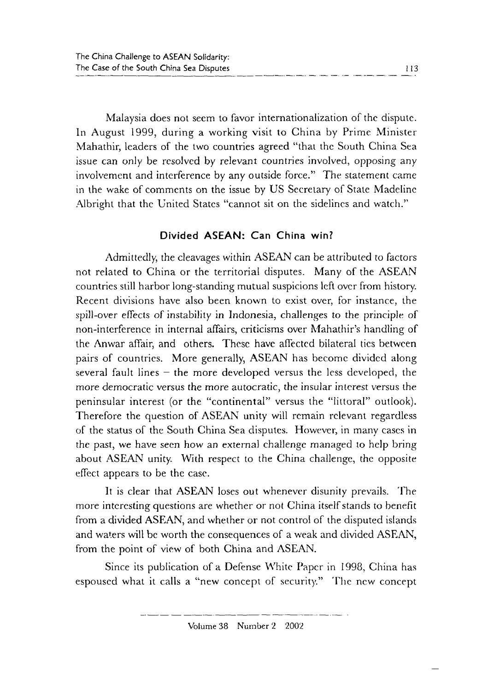Malaysia does not seem to favor internationalization of the dispute. In August 1999, during a working visit to China by Prime Minister Mahathir, leaders of the two countries agreed "that the South China Sea issue can only be resolved by relevant countries involved, opposing any involvement and interference by any outside force." The statement came in the wake of comments on the issue by US Secretary of State Madeline Albright that the United States "cannot sit on the sidelines and watch."

#### **Divided ASEAN: Can China win?**

Admittedly, the cleavages within ASEAN can be attributed to factors not related to China or the territorial disputes. Many of the ASEAN countries still harbor long-standing mutual suspicions left over from history. Recent divisions have also been known to exist over, for instance, the spill-over effects of instability in Indonesia, challenges to the principle of non-interference in internal affairs, criticisms over Mahathir's handling of the Anwar affair, and others. These have affected bilateral tics between pairs of countries. More generally, ASEAN has become divided along several fault lines – the more developed versus the less developed, the more democratic versus the more autocratic, the insular interest versus the peninsular interest (or the "continental" versus the "littoral" outlook). Therefore the question of ASEAN unity will remain relevant regardless of the status of the South China Sea disputes. However, in many cases in the past, we have seen how an external challenge managed to help bring about ASEAN unity. With respect to the China challenge, the opposite effect appears to be the case.

It is clear that ASEAN loses out whenever disunity prevails. The more interesting questions are whether or not China itself stands to benefit from a divided ASEAN, and whether or not control of the disputed islands and waters will be worth the consequences of a weak and divided ASEAN, from the point of view of both China and ASEAN.

Since its publication of a Defense White Paper in 1998, China has espoused what it calls a "new concept of security." The new concept

Volume 38 Number 2 2002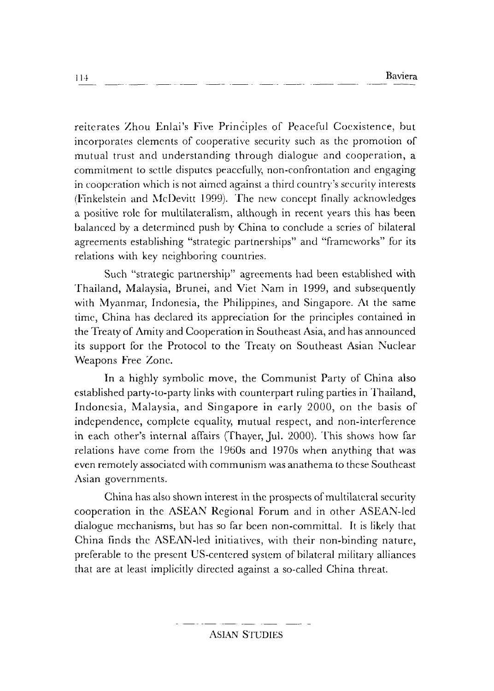reiterates Zhou Enlai's Five Principles of Peaceful Coexistence, but incorporates clements of cooperative security such as the promotion of mutual trust and understanding through dialogue and cooperation, a commitment to settle disputes peacefully, non-confrontation and engaging in cooperation which is not aimed against a third country's security interests (Finkelstein and McDevitt 1999). The new concept finally acknowledges a positive role for multilateralism, although in recent years this has been balanced by a determined push by China to conclude a series of bilateral agreements establishing "strategic partnerships" and "frameworks" for its relations with key neighboring countries.

Such "strategic partnership" agreements had been established with Thailand, Malaysia, Brunei, and Viet Nam in 1999, and subsequently with Myanmar, Indonesia, the Philippines, and Singapore. At the same time, China has declared its appreciation for the principles contained in the Treaty of Amity and Cooperation in Southeast Asia, and has announced its support for the Protocol to the Treaty on Southeast Asian Nuclear Weapons Free Zone.

In a highly symbolic move, the Communist Party of China also established party-to-party links with counterpart ruling parties in Thailand, Indonesia, Malaysia, and Singapore in early 2000, on the basis of independence, complete equality, mutual respect, and non-interference in each other's internal affairs (Thayer, Jul. 2000). This shows how far relations have come from the 1960s and 1970s when anything that was even remotely associated with communism was anathema to these Southeast Asian governments.

China has also shown interest in the prospects of multilateral security cooperation in the ASEAN Regional Forum and in other ASEAN-led dialogue mechanisms, but has so far been non-committal. It is likely that China finds the ASEAN-led initiatives, with their non-binding nature, preferable to the present US-centered system of bilateral military alliances that are at least implicitly directed against a so-called China threat.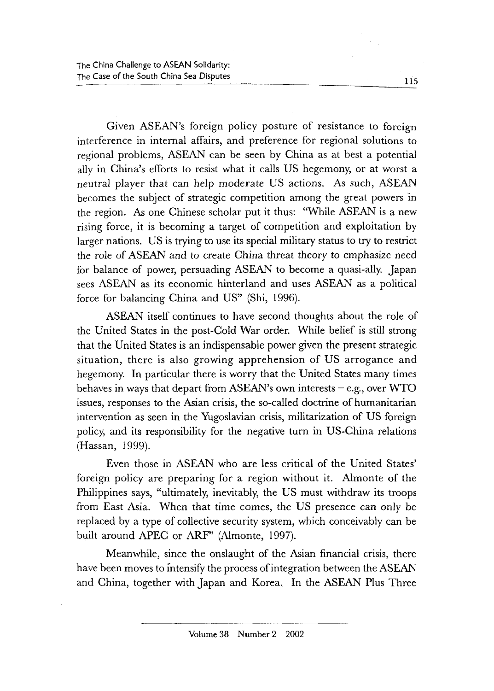Given ASEAN's foreign policy posture of resistance to foreign interference in internal affairs, and preference for regional solutions to regional problems, ASEAN can be seen by China as at best a potential ally in China's efforts to resist what it calls US hegemony, or at worst a neutral player that can help moderate US actions. As such, ASEAN becomes the subject of strategic competition among the great powers in the region. As one Chinese scholar put it thus: "While ASEAN is a new rising force, it is becoming a target of competition and exploitation by larger nations. US is trying to use its special military status to try to restrict the role of ASEAN and to create China threat theory to emphasize need for balance of power, persuading ASEAN to become a quasi-ally. Japan sees ASEAN as its economic hinterland and uses ASEAN as a political force for balancing China and US" (Shi, 1996).

ASEAN itself continues to have second thoughts about the role of the United States in the post-Cold War order. While belief is still strong that the United States is an indispensable power given the present strategic situation, there is also growing apprehension of US arrogance and hegemony. In particular there is worry that the United States many times behaves in ways that depart from ASEAN's own interests  $-e.g.,$  over WTO issues, responses to the Asian crisis, the so-called doctrine of humanitarian intervention as seen in the Yugoslavian crisis, militarization of US foreign policy, and its responsibility for the negative turn in US-China relations (Hassan, 1999).

Even those in ASEAN who are less critical of the United States' foreign policy are preparing for a region without it. Almonte of the Philippines says, "ultimately, inevitably, the US must withdraw its troops from East Asia. When that time comes, the US presence can only be replaced by a type of collective security system, which conceivably can be built around APEC or ARF" (Almonte, 1997).

Meanwhile, since the onslaught of the Asian financial crisis, there have been moves to intensify the process of integration between the ASEAN and China, together with Japan and Korea. In the ASEAN Plus Three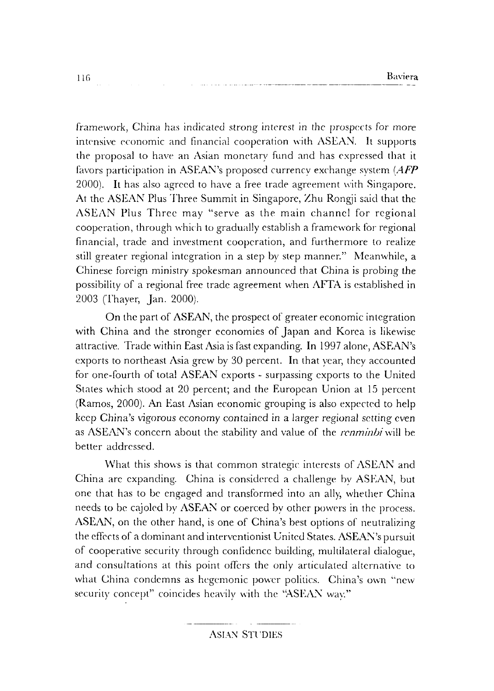framework, China has indicated strong interest in the prospects for more intensive economic and financial cooperation with ASEAN. It supports the proposal to have an Asian monetary fund and has expressed that it fiwors participation in ASEAN's proposed currency exchange system *(AFP*  2000). It has also agreed to have a free trade agreement with Singapore. At the ASEAN Plus Three Summit in Singapore, Zhu Rongji said that the ASEAN Plus Three may "serve as the main channel for regional cooperation, through which to gradually establish a framework for regional financial, trade and investment cooperation, and furthermore to realize still greater regional integration in a step by step manner." Meanwhile, a Chinese foreign ministry spokesman announced that China is probing the possibility of a regional free trade agreement when **AFTA** is established in 2003 (Thayer, Jan. 2000).

On the part of ASEAN, the prospect of greater economic integration with China and the stronger economies of Japan and Korea is likewise attractive. Trade within East Asia is fast expanding. In 1997 alone, ASEAN's exports to northeast Asia grew by 30 percent. **In** that year, they accounted for one-fourth of total ASEAN exports - surpassing exports to the United States which stood at 20 percent; and the European Union at 15 percent (Ramos, 2000). An East Asian economic grouping is also expected to help keep China's vigorous economy contained in a larger regional setting even as ASEAN's concern about the stability and value of the *renminbi* will be better addressed.

What this shows is that common strategic interests of ASEAN and China arc expanding. China is considered a challenge by ASEAN, but one that has to be engaged and transformed into an ally, whether China needs to be cajoled by ASEAN or coerced by other powers in the process. ASEAN, on the other hand, is one of China's best options of neutralizing the effects of a dominant and interventionist United States. ASEAN's pursuit of cooperative security through confidence building, multilateral dialogue, and consultations at this point offers the only articulated alternative to what China condemns as hegemonic power politics. China's own "new security concept" coincides heavily with the "ASEAN way."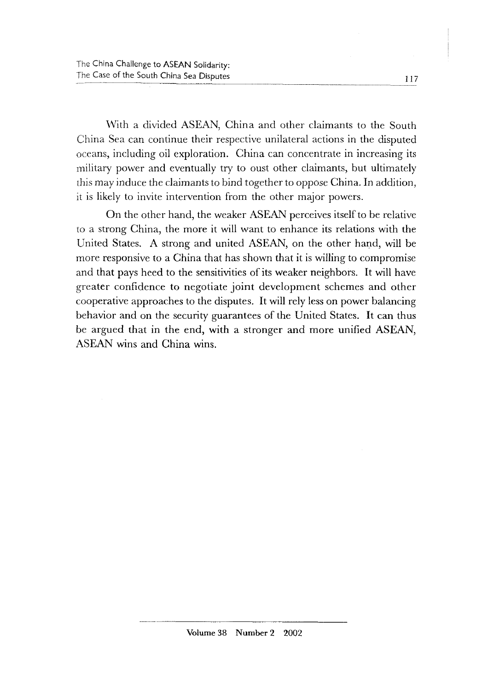With a divided ASEAN, China and other claimants to the South China Sea can continue their respective unilateral actions in the disputed oceans, including oil exploration. China can concentrate in increasing its military power and eventually try to oust other claimants, but ultimately this may induce the claimants to bind together to oppose China. In addition, it is likely to invite intervention from the other major powers.

On the other hand, the weaker ASEAN perceives itself to be relative to a strong China, the more it will want to enhance its relations with the United States. A strong and united ASEAN, on the other hand, will be more responsive to a China that has shown that it is willing to compromise and that pays heed to the sensitivities of its weaker neighbors. It will have greater confidence to negotiate joint development schemes and other cooperative approaches to the disputes. It will rely less on power balancing behavior and on the security guarantees of the United States. It can thus be argued that in the end, with a stronger and more unified ASEAN, ASEAN wins and China wins.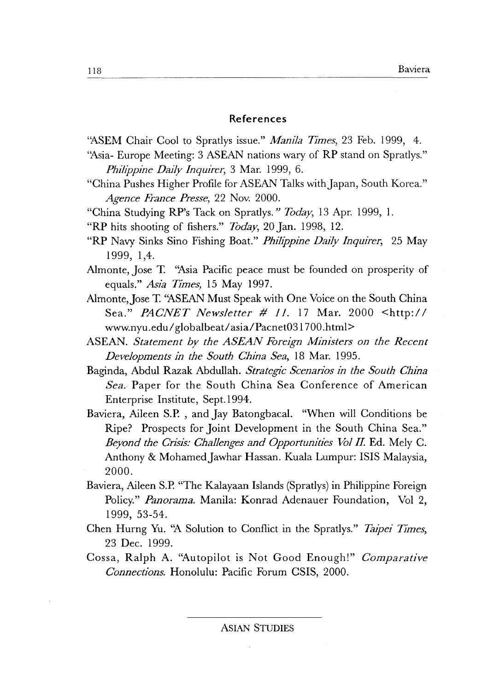#### **References**

"ASEM Chair Cool to Spratlys issue." *Manila Times*, 23 Feb. 1999, 4.

- "Asia- Europe Meeting: 3 ASEAN nations wary of RP stand on Spratlys." *Philippine Daily Inquirer,* 3 Mar. 1999, 6.
- "China Pushes Higher Profile for ASEAN Talks with Japan, South Korea." *Agence France Presse,* 22 Nov. 2000.
- "China Studying RP's Tack on Spratlys." *Today,* 13 Apr. 1999, 1.
- "RP hits shooting of fishers." *Today,* 20 Jan. 1998, 12.
- "RP Navy Sinks Sino Fishing Boat." *Phili'ppine Daily Inquirer,* 25 May 1999, 1,4.
- Almonte, Jose T. "Asia Pacific peace must be founded on prosperity of equals." *Asia Times)* 15 May 1997.
- Almonte, Jose T. "ASEAN Must Speak with One Voice on the South China Sea." *PACNET Newsletter # 11.* 17 Mar. 2000 <http:/ *I*  www.nyu.edu/globalbeat/asia/Pacnet031700.html>
- ASEAN. *Statement by the ASEAN Foreign Ministers on the Recent Developments 1n the South China Sea,* 18 Mar. 1995.
- Baginda, Abdul Razak Abdullah. *Strategic Scenarios 1n the South Ch1na Sea.* Paper for the South China Sea Conference of American Enterprise Institute, Sept.l994.
- Baviera, Aileen S.P. , and Jay Batongbacal. "When will Conditions be Ripe? Prospects for Joint Development in the South China Sea." *Beyond the Crisis: Challenges and Opportunities Vol II.* Ed. Mely C. Anthony & Mohamed Jawhar Hassan. Kuala Lumpur: ISIS Malaysia, 2000.
- Baviera, Aileen S.P. "The Kalayaan Islands (Spratlys) in Philippine Foreign Policy." *Panorama.* Manila: Konrad Adenauer Foundation, Vol 2, 1999, 53-54.
- Chen Hurng Yu. "A Solution to Conflict in the Spratlys." *Taipei Times*, 23 Dec. 1999.
- Cossa, Ralph A. ''Autopilot is Not Good Enough!" *Comparative Connections.* Honolulu: Pacific Forum CSIS, 2000.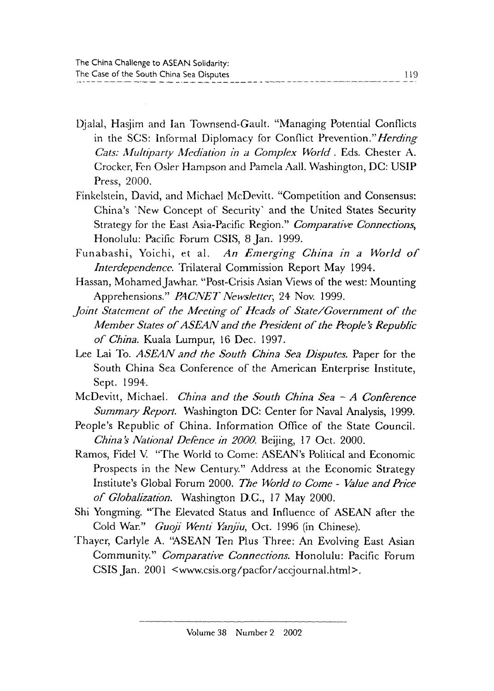Djalal, Hasjim and Ian Townsend-Gault. "Managing Potential Conflicts in the SCS: Informal Diplomacy for Conflict Prevention." *Herding Cats: Multiparty Mediation in a Complex World . Eds. Chester A.* Crocker, Fen Osler Hampson and Pamela Aall. Washington, DC: USIP Press, 2000.

- Finkelstein, David, and Michael McDevitt. "Competition and Consensus: China's 'New Concept of Security' and the United States Security Strategy for the East Asia-Pacific Region." *Comparative Connections,*  Honolulu: Pacific Forum CSIS, 8 Jan. 1999.
- Funabashi, Yoichi, et a!. *An Emerging China in a World of Interdependence.* Trilateral Commission Report May 1994.
- Hassan, Mohamed Jawhar. "Post-Crisis Asian Views of the west: Mounting Apprehensions." *PAClVET Newsletter,* 24 Nov. 1999.
- *Joint Statement of the Meeting of Heads of State/Government of the Member States of ASEAN and the President of the People's Republic of China.* Kuala Lumpur, !6 Dec. 1997.
- Lee Lai To. *ASEAN and the South China Sea Disputes.* Paper for the South China Sea Conference of the American Enterprise Institute, Sept. !994.
- McDevitt, Michael. *China and the South China Sea A Conference Summary Report.* Washington DC: Center for Naval Analysis, 1999.
- People's Republic of China. Information Office of the State Council. *China\$ National Defence in 2000.* Beijing, 17 Oct. 2000.
- Ramos, Fidel V. "The World to Come: ASEAN's Political and Economic Prospects in the New Century." Address at the Economic Strategy Institute's Global Forum 2000. *The World to Come* - *Value and Price of Globalization.* Washington D.C., 17 May 2000.
- Shi Yongming. "The Elevated Status and Influence of ASEAN after the Cold War." *Guoji Wenti Yanjiu*, Oct. 1996 (in Chinese).
- Thayer, Carlyle A. "ASEAN Ten Plus Three: An Evolving East Asian Community." *Comparative Connections.* Honolulu: Pacific Forum CSIS Jan. 2001 <www.csis.org/pacfor /accjournal.html>.